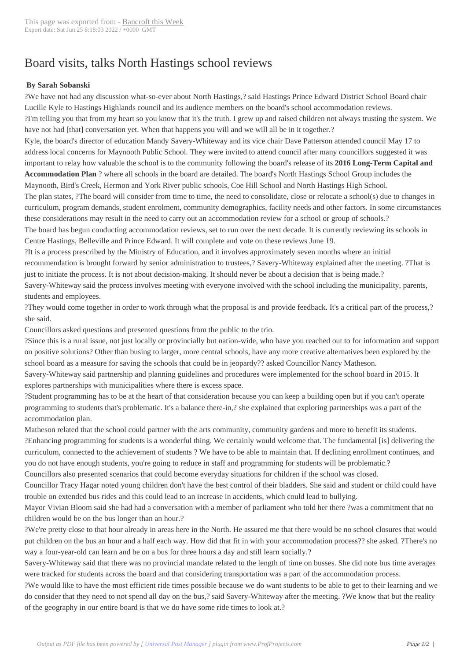## Board visits, talks [North Hasting](http://www.bancroftthisweek.com/?p=7928)s school reviews

## **By Sarah Sobanski**

?We have not had any discussion what-so-ever about North Hastings,? said Hastings Prince Edward District School Board chair Lucille Kyle to Hastings Highlands council and its audience members on the board's school accommodation reviews. ?I'm telling you that from my heart so you know that it's the truth. I grew up and raised children not always trusting the system. We have not had [that] conversation yet. When that happens you will and we will all be in it together.? Kyle, the board's director of education Mandy Savery-Whiteway and its vice chair Dave Patterson attended council May 17 to address local concerns for Maynooth Public School. They were invited to attend council after many councillors suggested it was important to relay how valuable the school is to the community following the board's release of its **2016 Long-Term Capital and Accommodation Plan** ? where all schools in the board are detailed. The board's North Hastings School Group includes the Maynooth, Bird's Creek, Hermon and York River public schools, Coe Hill School and North Hastings High School. The plan states, ?The board will consider from time to time, the need to consolidate, close or relocate a school(s) due to changes in curriculum, program demands, student enrolment, community demographics, facility needs and other factors. In some circumstances these considerations may result in the need to carry out an accommodation review for a school or group of schools.? The board has begun conducting accommodation reviews, set to run over the next decade. It is currently reviewing its schools in Centre Hastings, Belleville and Prince Edward. It will complete and vote on these reviews June 19. ?It is a process prescribed by the Ministry of Education, and it involves approximately seven months where an initial

recommendation is brought forward by senior administration to trustees,? Savery-Whiteway explained after the meeting. ?That is just to initiate the process. It is not about decision-making. It should never be about a decision that is being made.? Savery-Whiteway said the process involves meeting with everyone involved with the school including the municipality, parents,

students and employees.

?They would come together in order to work through what the proposal is and provide feedback. It's a critical part of the process,? she said.

Councillors asked questions and presented questions from the public to the trio.

?Since this is a rural issue, not just locally or provincially but nation-wide, who have you reached out to for information and support on positive solutions? Other than busing to larger, more central schools, have any more creative alternatives been explored by the school board as a measure for saving the schools that could be in jeopardy?? asked Councillor Nancy Matheson.

Savery-Whiteway said partnership and planning guidelines and procedures were implemented for the school board in 2015. It explores partnerships with municipalities where there is excess space.

?Student programming has to be at the heart of that consideration because you can keep a building open but if you can't operate programming to students that's problematic. It's a balance there-in,? she explained that exploring partnerships was a part of the accommodation plan.

Matheson related that the school could partner with the arts community, community gardens and more to benefit its students. ?Enhancing programming for students is a wonderful thing. We certainly would welcome that. The fundamental [is] delivering the curriculum, connected to the achievement of students ? We have to be able to maintain that. If declining enrollment continues, and you do not have enough students, you're going to reduce in staff and programming for students will be problematic.?

Councillors also presented scenarios that could become everyday situations for children if the school was closed.

Councillor Tracy Hagar noted young children don't have the best control of their bladders. She said and student or child could have trouble on extended bus rides and this could lead to an increase in accidents, which could lead to bullying.

Mayor Vivian Bloom said she had had a conversation with a member of parliament who told her there ?was a commitment that no children would be on the bus longer than an hour.?

?We're pretty close to that hour already in areas here in the North. He assured me that there would be no school closures that would put children on the bus an hour and a half each way. How did that fit in with your accommodation process?? she asked. ?There's no way a four-year-old can learn and be on a bus for three hours a day and still learn socially.?

Savery-Whiteway said that there was no provincial mandate related to the length of time on busses. She did note bus time averages were tracked for students across the board and that considering transportation was a part of the accommodation process.

?We would like to have the most efficient ride times possible because we do want students to be able to get to their learning and we do consider that they need to not spend all day on the bus,? said Savery-Whiteway after the meeting. ?We know that but the reality of the geography in our entire board is that we do have some ride times to look at.?